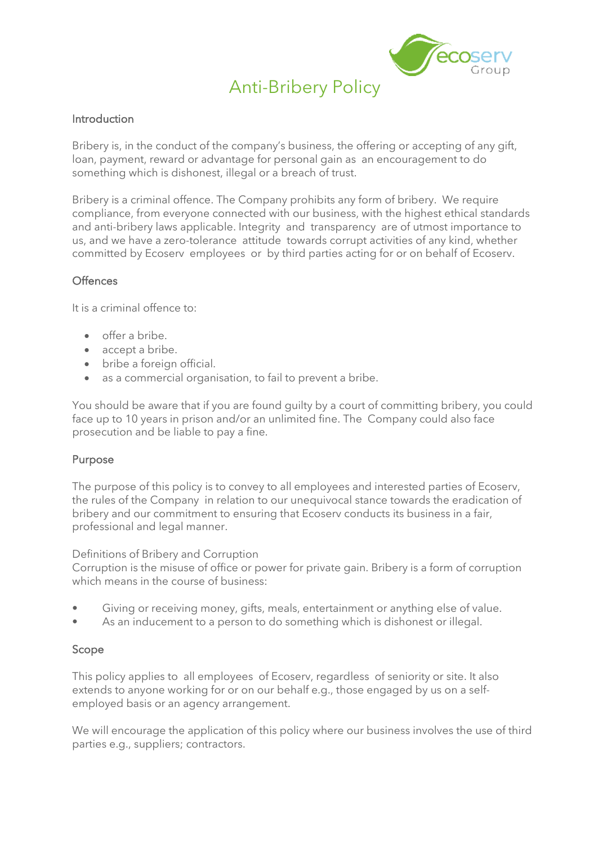

# Anti-Bribery Policy

#### Introduction

Bribery is, in the conduct of the company's business, the offering or accepting of any gift, loan, payment, reward or advantage for personal gain as an encouragement to do something which is dishonest, illegal or a breach of trust.

Bribery is a criminal offence. The Company prohibits any form of bribery. We require compliance, from everyone connected with our business, with the highest ethical standards and anti-bribery laws applicable. Integrity and transparency are of utmost importance to us, and we have a zero-tolerance attitude towards corrupt activities of any kind, whether committed by Ecoserv employees or by third parties acting for or on behalf of Ecoserv.

#### **Offences**

It is a criminal offence to:

- offer a bribe.
- accept a bribe.
- bribe a foreign official.
- as a commercial organisation, to fail to prevent a bribe.

You should be aware that if you are found guilty by a court of committing bribery, you could face up to 10 years in prison and/or an unlimited fine. The Company could also face prosecution and be liable to pay a fine.

## Purpose

The purpose of this policy is to convey to all employees and interested parties of Ecoserv, the rules of the Company in relation to our unequivocal stance towards the eradication of bribery and our commitment to ensuring that Ecoserv conducts its business in a fair, professional and legal manner.

#### Definitions of Bribery and Corruption

Corruption is the misuse of office or power for private gain. Bribery is a form of corruption which means in the course of business:

- Giving or receiving money, gifts, meals, entertainment or anything else of value.
- As an inducement to a person to do something which is dishonest or illegal.

#### Scope

This policy applies to all employees of Ecoserv, regardless of seniority or site. It also extends to anyone working for or on our behalf e.g., those engaged by us on a selfemployed basis or an agency arrangement.

We will encourage the application of this policy where our business involves the use of third parties e.g., suppliers; contractors.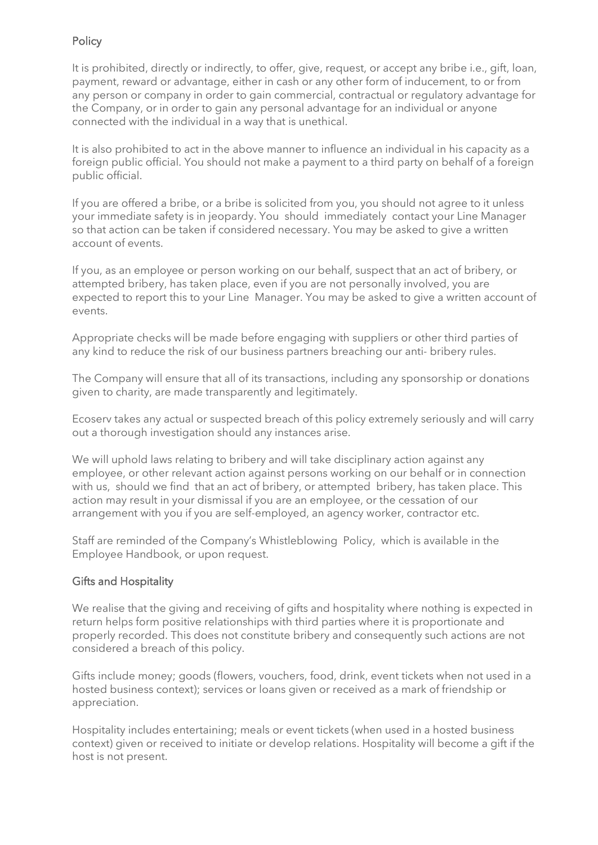# **Policy**

It is prohibited, directly or indirectly, to offer, give, request, or accept any bribe i.e., gift, loan, payment, reward or advantage, either in cash or any other form of inducement, to or from any person or company in order to gain commercial, contractual or regulatory advantage for the Company, or in order to gain any personal advantage for an individual or anyone connected with the individual in a way that is unethical.

It is also prohibited to act in the above manner to influence an individual in his capacity as a foreign public official. You should not make a payment to a third party on behalf of a foreign public official.

If you are offered a bribe, or a bribe is solicited from you, you should not agree to it unless your immediate safety is in jeopardy. You should immediately contact your Line Manager so that action can be taken if considered necessary. You may be asked to give a written account of events.

If you, as an employee or person working on our behalf, suspect that an act of bribery, or attempted bribery, has taken place, even if you are not personally involved, you are expected to report this to your Line Manager. You may be asked to give a written account of events.

Appropriate checks will be made before engaging with suppliers or other third parties of any kind to reduce the risk of our business partners breaching our anti- bribery rules.

The Company will ensure that all of its transactions, including any sponsorship or donations given to charity, are made transparently and legitimately.

Ecoserv takes any actual or suspected breach of this policy extremely seriously and will carry out a thorough investigation should any instances arise.

We will uphold laws relating to bribery and will take disciplinary action against any employee, or other relevant action against persons working on our behalf or in connection with us, should we find that an act of bribery, or attempted bribery, has taken place. This action may result in your dismissal if you are an employee, or the cessation of our arrangement with you if you are self-employed, an agency worker, contractor etc.

Staff are reminded of the Company's Whistleblowing Policy, which is available in the Employee Handbook, or upon request.

## Gifts and Hospitality

We realise that the giving and receiving of gifts and hospitality where nothing is expected in return helps form positive relationships with third parties where it is proportionate and properly recorded. This does not constitute bribery and consequently such actions are not considered a breach of this policy.

Gifts include money; goods (flowers, vouchers, food, drink, event tickets when not used in a hosted business context); services or loans given or received as a mark of friendship or appreciation.

Hospitality includes entertaining; meals or event tickets (when used in a hosted business context) given or received to initiate or develop relations. Hospitality will become a gift if the host is not present.